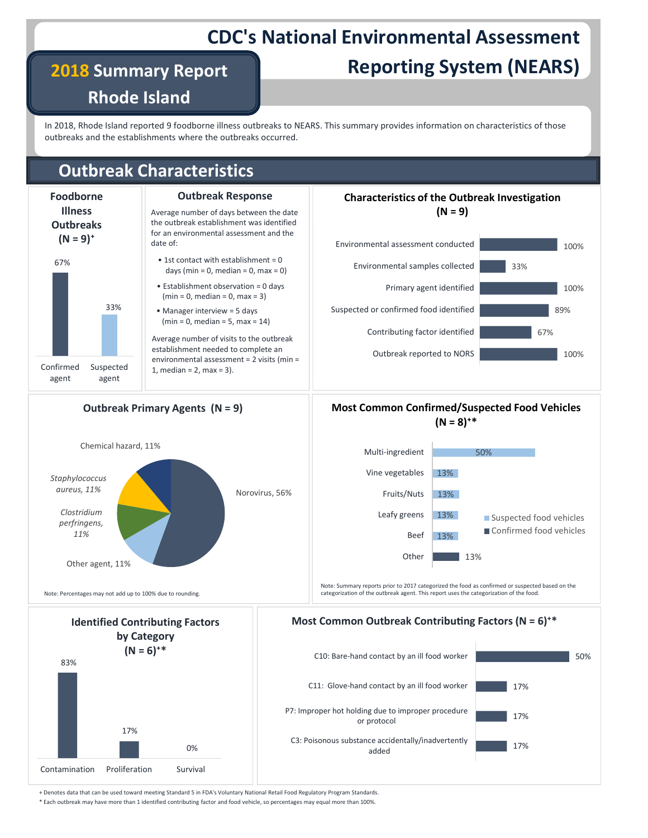# CDC's National Environmental Assessment

2018 Summary Report

Rhode Island

# Reporting System (NEARS)

**CDC's National Environmental Assessment**<br> **Reporting System (NEARS)**<br>
Rhode Island<br>
In 2018, Rhode Island reported 9 foodborne illness outbreaks to NEARS. This summary provides information on characteristics of those<br> **Ou** outbreaks and the establishments where the outbreaks occurred.

## Outbreak Characteristics



\* Each outbreak may have more than 1 identified contributing factor and food vehicle, so percentages may equal more than 100%.